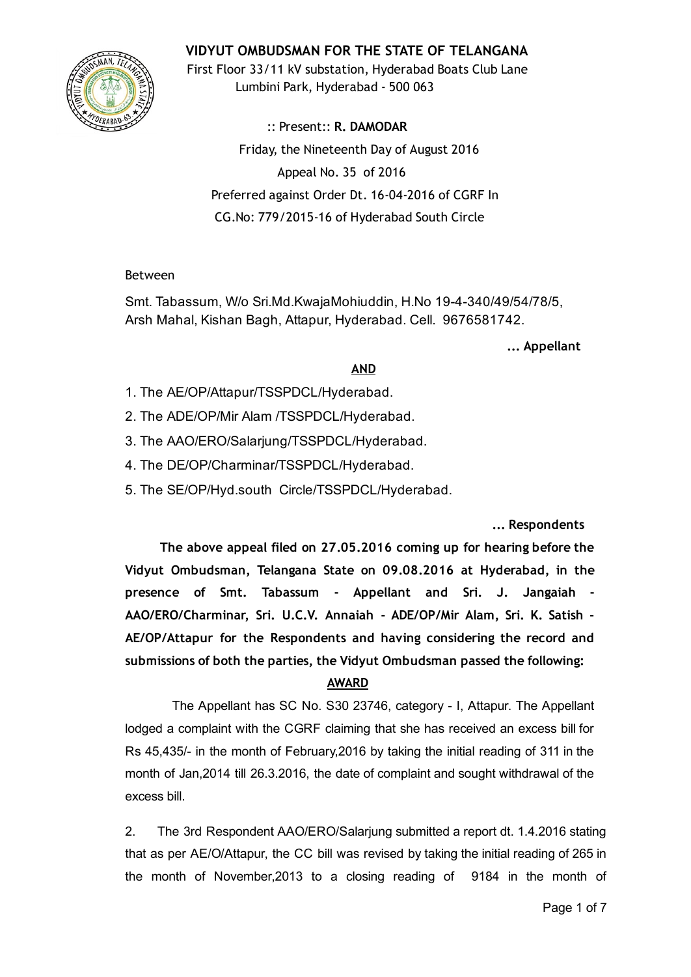

VIDYUT OMBUDSMAN FOR THE STATE OF TELANGANA

First Floor 33/11 kV substation, Hyderabad Boats Club Lane Lumbini Park, Hyderabad ‐ 500 063

:: Present:: R. DAMODAR Friday, the Nineteenth Day of August 2016 Appeal No. 35 of 2016 Preferred against Order Dt. 16‐04‐2016 of CGRF In CG.No: 779/2015‐16 of Hyderabad South Circle

# Between

Smt. Tabassum, W/o Sri.Md.KwajaMohiuddin, H.No 19-4-340/49/54/78/5, Arsh Mahal, Kishan Bagh, Attapur, Hyderabad. Cell. 9676581742.

... Appellant

## AND

- 1. The AE/OP/Attapur/TSSPDCL/Hyderabad.
- 2. The ADE/OP/Mir Alam /TSSPDCL/Hyderabad.
- 3. The AAO/ERO/Salarjung/TSSPDCL/Hyderabad.
- 4. The DE/OP/Charminar/TSSPDCL/Hyderabad.
- 5. The SE/OP/Hyd.south Circle/TSSPDCL/Hyderabad.

... Respondents

The above appeal filed on 27.05.2016 coming up for hearing before the Vidyut Ombudsman, Telangana State on 09.08.2016 at Hyderabad, in the presence of Smt. Tabassum ‐ Appellant and Sri. J. Jangaiah ‐ AAO/ERO/Charminar, Sri. U.C.V. Annaiah ‐ ADE/OP/Mir Alam, Sri. K. Satish ‐ AE/OP/Attapur for the Respondents and having considering the record and submissions of both the parties, the Vidyut Ombudsman passed the following:

# AWARD

The Appellant has SC No. S30 23746, category - I, Attapur. The Appellant lodged a complaint with the CGRF claiming that she has received an excess bill for Rs 45,435/ in the month of February,2016 by taking the initial reading of 311 in the month of Jan,2014 till 26.3.2016, the date of complaint and sought withdrawal of the excess bill.

2. The 3rd Respondent AAO/ERO/Salarjung submitted a report dt. 1.4.2016 stating that as per AE/O/Attapur, the CC bill was revised by taking the initial reading of 265 in the month of November,2013 to a closing reading of 9184 in the month of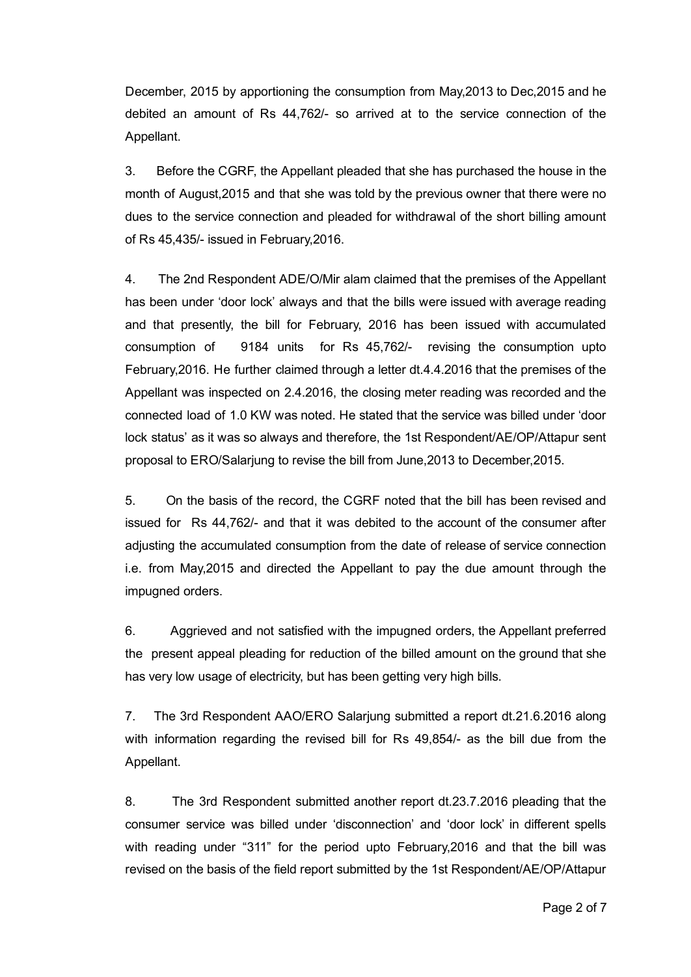December, 2015 by apportioning the consumption from May, 2013 to Dec, 2015 and he debited an amount of Rs 44,762/ so arrived at to the service connection of the Appellant.

3. Before the CGRF, the Appellant pleaded that she has purchased the house in the month of August,2015 and that she was told by the previous owner that there were no dues to the service connection and pleaded for withdrawal of the short billing amount of Rs 45,435/ issued in February,2016.

4. The 2nd Respondent ADE/O/Mir alam claimed that the premises of the Appellant has been under 'door lock' always and that the bills were issued with average reading and that presently, the bill for February, 2016 has been issued with accumulated consumption of 9184 units for Rs 45,762/ revising the consumption upto February,2016. He further claimed through a letter dt.4.4.2016 that the premises of the Appellant was inspected on 2.4.2016, the closing meter reading was recorded and the connected load of 1.0 KW was noted. He stated that the service was billed under 'door lock status' as it was so always and therefore, the 1st Respondent/AE/OP/Attapur sent proposal to ERO/Salarjung to revise the bill from June,2013 to December,2015.

5. On the basis of the record, the CGRF noted that the bill has been revised and issued for Rs 44,762/ and that it was debited to the account of the consumer after adjusting the accumulated consumption from the date of release of service connection i.e. from May,2015 and directed the Appellant to pay the due amount through the impugned orders.

6. Aggrieved and not satisfied with the impugned orders, the Appellant preferred the present appeal pleading for reduction of the billed amount on the ground that she has very low usage of electricity, but has been getting very high bills.

7. The 3rd Respondent AAO/ERO Salarjung submitted a report dt.21.6.2016 along with information regarding the revised bill for Rs 49,854/- as the bill due from the Appellant.

8. The 3rd Respondent submitted another report dt.23.7.2016 pleading that the consumer service was billed under 'disconnection' and 'door lock' in different spells with reading under "311" for the period upto February,2016 and that the bill was revised on the basis of the field report submitted by the 1st Respondent/AE/OP/Attapur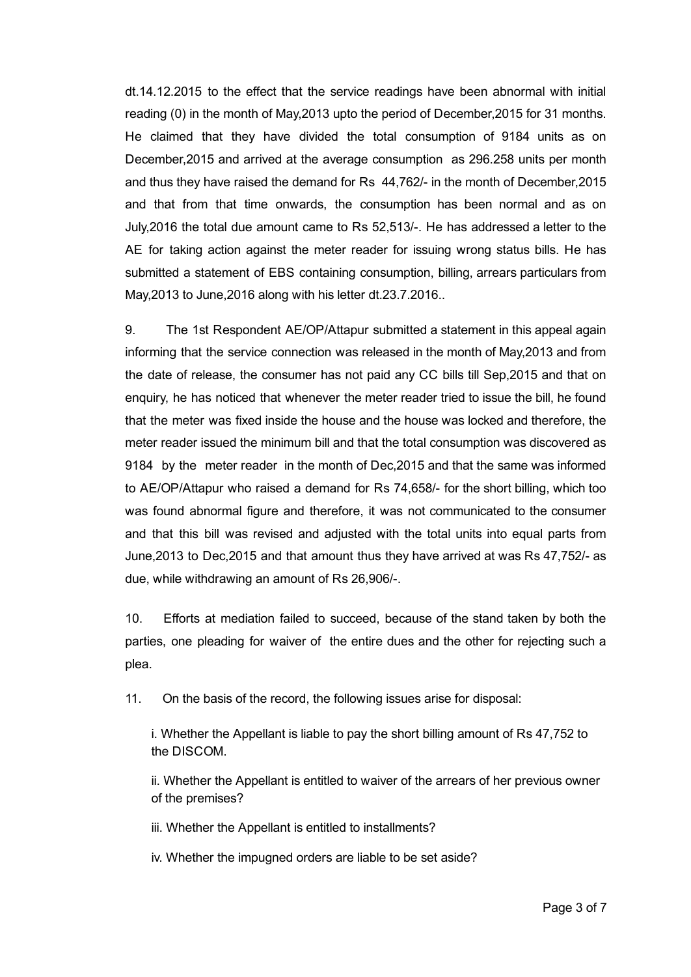dt.14.12.2015 to the effect that the service readings have been abnormal with initial reading (0) in the month of May,2013 upto the period of December,2015 for 31 months. He claimed that they have divided the total consumption of 9184 units as on December,2015 and arrived at the average consumption as 296.258 units per month and thus they have raised the demand for Rs 44,762/ in the month of December,2015 and that from that time onwards, the consumption has been normal and as on July,2016 the total due amount came to Rs 52,513/. He has addressed a letter to the AE for taking action against the meter reader for issuing wrong status bills. He has submitted a statement of EBS containing consumption, billing, arrears particulars from May,2013 to June,2016 along with his letter dt.23.7.2016..

9. The 1st Respondent AE/OP/Attapur submitted a statement in this appeal again informing that the service connection was released in the month of May,2013 and from the date of release, the consumer has not paid any CC bills till Sep,2015 and that on enquiry, he has noticed that whenever the meter reader tried to issue the bill, he found that the meter was fixed inside the house and the house was locked and therefore, the meter reader issued the minimum bill and that the total consumption was discovered as 9184 by the meter reader in the month of Dec,2015 and that the same was informed to AE/OP/Attapur who raised a demand for Rs 74,658/ for the short billing, which too was found abnormal figure and therefore, it was not communicated to the consumer and that this bill was revised and adjusted with the total units into equal parts from June,2013 to Dec,2015 and that amount thus they have arrived at was Rs 47,752/ as due, while withdrawing an amount of Rs 26,906/.

10. Efforts at mediation failed to succeed, because of the stand taken by both the parties, one pleading for waiver of the entire dues and the other for rejecting such a plea.

11. On the basis of the record, the following issues arise for disposal:

i. Whether the Appellant is liable to pay the short billing amount of Rs 47,752 to the DISCOM.

ii. Whether the Appellant is entitled to waiver of the arrears of her previous owner of the premises?

iii. Whether the Appellant is entitled to installments?

iv. Whether the impugned orders are liable to be set aside?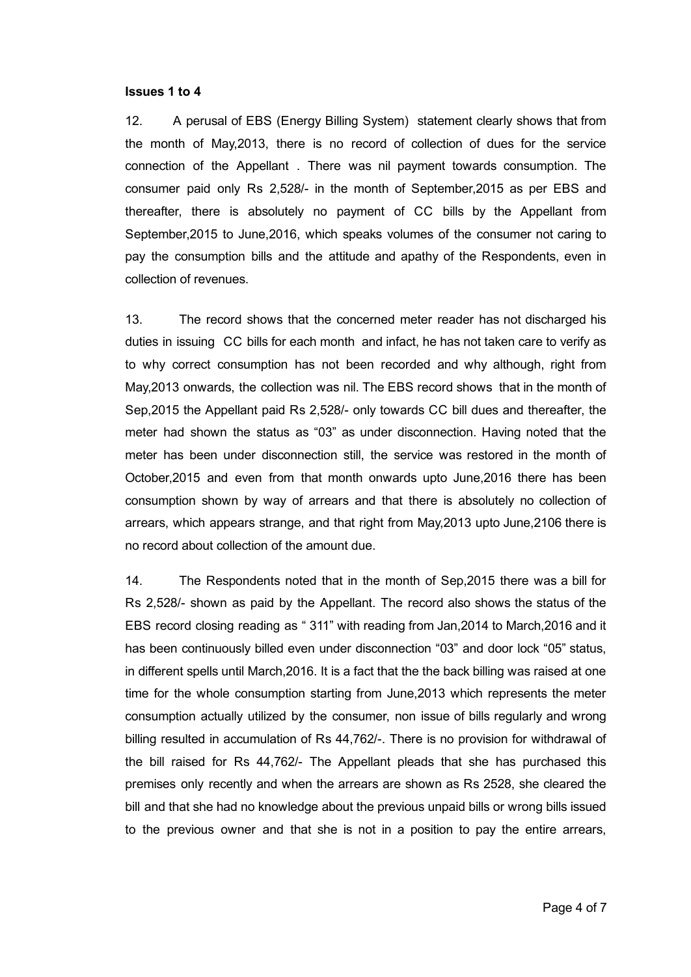### Issues 1 to 4

12. A perusal of EBS (Energy Billing System) statement clearly shows that from the month of May,2013, there is no record of collection of dues for the service connection of the Appellant . There was nil payment towards consumption. The consumer paid only Rs 2,528/ in the month of September,2015 as per EBS and thereafter, there is absolutely no payment of CC bills by the Appellant from September,2015 to June,2016, which speaks volumes of the consumer not caring to pay the consumption bills and the attitude and apathy of the Respondents, even in collection of revenues.

13. The record shows that the concerned meter reader has not discharged his duties in issuing CC bills for each month and infact, he has not taken care to verify as to why correct consumption has not been recorded and why although, right from May,2013 onwards, the collection was nil. The EBS record shows that in the month of Sep,2015 the Appellant paid Rs 2,528/ only towards CC bill dues and thereafter, the meter had shown the status as "03" as under disconnection. Having noted that the meter has been under disconnection still, the service was restored in the month of October,2015 and even from that month onwards upto June,2016 there has been consumption shown by way of arrears and that there is absolutely no collection of arrears, which appears strange, and that right from May,2013 upto June,2106 there is no record about collection of the amount due.

14. The Respondents noted that in the month of Sep,2015 there was a bill for Rs 2,528/- shown as paid by the Appellant. The record also shows the status of the EBS record closing reading as " 311" with reading from Jan,2014 to March,2016 and it has been continuously billed even under disconnection "03" and door lock "05" status, in different spells until March,2016. It is a fact that the the back billing was raised at one time for the whole consumption starting from June,2013 which represents the meter consumption actually utilized by the consumer, non issue of bills regularly and wrong billing resulted in accumulation of Rs 44,762/. There is no provision for withdrawal of the bill raised for Rs 44,762/ The Appellant pleads that she has purchased this premises only recently and when the arrears are shown as Rs 2528, she cleared the bill and that she had no knowledge about the previous unpaid bills or wrong bills issued to the previous owner and that she is not in a position to pay the entire arrears,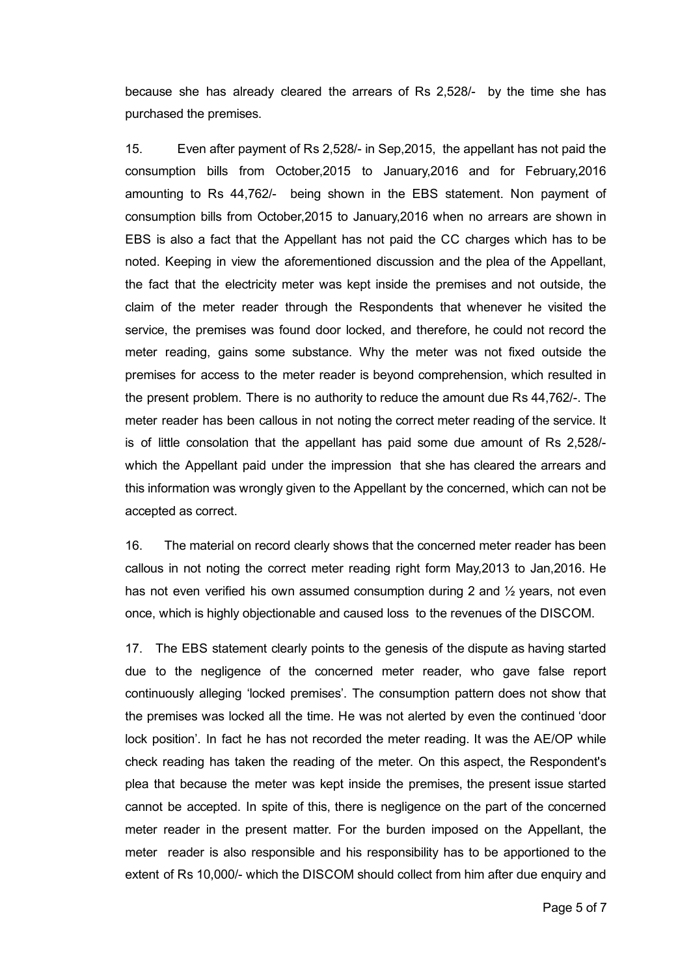because she has already cleared the arrears of Rs 2,528/ by the time she has purchased the premises.

15. Even after payment of Rs 2,528/ in Sep,2015, the appellant has not paid the consumption bills from October,2015 to January,2016 and for February,2016 amounting to Rs 44,762/ being shown in the EBS statement. Non payment of consumption bills from October,2015 to January,2016 when no arrears are shown in EBS is also a fact that the Appellant has not paid the CC charges which has to be noted. Keeping in view the aforementioned discussion and the plea of the Appellant, the fact that the electricity meter was kept inside the premises and not outside, the claim of the meter reader through the Respondents that whenever he visited the service, the premises was found door locked, and therefore, he could not record the meter reading, gains some substance. Why the meter was not fixed outside the premises for access to the meter reader is beyond comprehension, which resulted in the present problem. There is no authority to reduce the amount due Rs 44,762/. The meter reader has been callous in not noting the correct meter reading of the service. It is of little consolation that the appellant has paid some due amount of Rs 2,528/ which the Appellant paid under the impression that she has cleared the arrears and this information was wrongly given to the Appellant by the concerned, which can not be accepted as correct.

16. The material on record clearly shows that the concerned meter reader has been callous in not noting the correct meter reading right form May,2013 to Jan,2016. He has not even verified his own assumed consumption during 2 and  $\frac{1}{2}$  years, not even once, which is highly objectionable and caused loss to the revenues of the DISCOM.

17. The EBS statement clearly points to the genesis of the dispute as having started due to the negligence of the concerned meter reader, who gave false report continuously alleging 'locked premises'. The consumption pattern does not show that the premises was locked all the time. He was not alerted by even the continued 'door lock position'. In fact he has not recorded the meter reading. It was the AE/OP while check reading has taken the reading of the meter. On this aspect, the Respondent's plea that because the meter was kept inside the premises, the present issue started cannot be accepted. In spite of this, there is negligence on the part of the concerned meter reader in the present matter. For the burden imposed on the Appellant, the meter reader is also responsible and his responsibility has to be apportioned to the extent of Rs 10,000/- which the DISCOM should collect from him after due enquiry and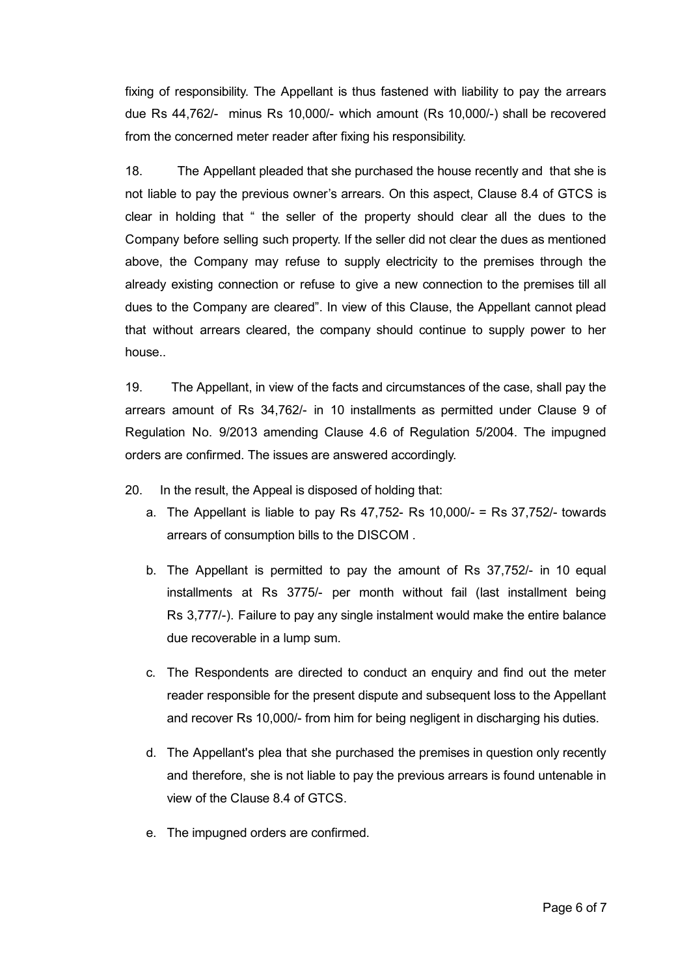fixing of responsibility. The Appellant is thus fastened with liability to pay the arrears due Rs 44,762/- minus Rs 10,000/- which amount (Rs 10,000/-) shall be recovered from the concerned meter reader after fixing his responsibility.

18. The Appellant pleaded that she purchased the house recently and that she is not liable to pay the previous owner's arrears. On this aspect, Clause 8.4 of GTCS is clear in holding that " the seller of the property should clear all the dues to the Company before selling such property. If the seller did not clear the dues as mentioned above, the Company may refuse to supply electricity to the premises through the already existing connection or refuse to give a new connection to the premises till all dues to the Company are cleared". In view of this Clause, the Appellant cannot plead that without arrears cleared, the company should continue to supply power to her house..

19. The Appellant, in view of the facts and circumstances of the case, shall pay the arrears amount of Rs 34,762/ in 10 installments as permitted under Clause 9 of Regulation No. 9/2013 amending Clause 4.6 of Regulation 5/2004. The impugned orders are confirmed. The issues are answered accordingly.

- 20. In the result, the Appeal is disposed of holding that:
	- a. The Appellant is liable to pay Rs  $47,752$  Rs  $10,000/$  = Rs  $37,752/$  towards arrears of consumption bills to the DISCOM .
	- b. The Appellant is permitted to pay the amount of Rs 37,752/ in 10 equal installments at Rs 3775/ per month without fail (last installment being Rs 3,777/). Failure to pay any single instalment would make the entire balance due recoverable in a lump sum.
	- c. The Respondents are directed to conduct an enquiry and find out the meter reader responsible for the present dispute and subsequent loss to the Appellant and recover Rs 10,000/- from him for being negligent in discharging his duties.
	- d. The Appellant's plea that she purchased the premises in question only recently and therefore, she is not liable to pay the previous arrears is found untenable in view of the Clause 8.4 of GTCS.
	- e. The impugned orders are confirmed.